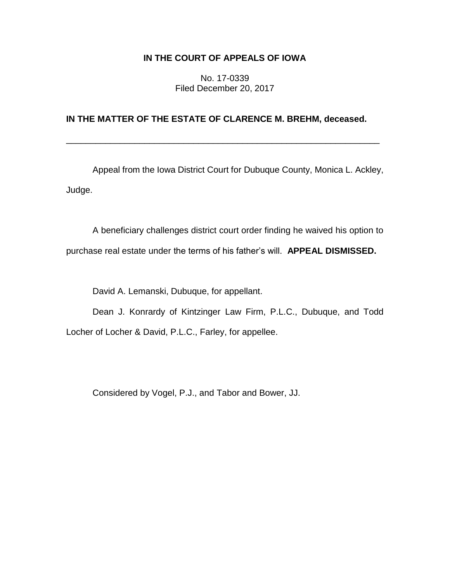# **IN THE COURT OF APPEALS OF IOWA**

No. 17-0339 Filed December 20, 2017

# **IN THE MATTER OF THE ESTATE OF CLARENCE M. BREHM, deceased.**

\_\_\_\_\_\_\_\_\_\_\_\_\_\_\_\_\_\_\_\_\_\_\_\_\_\_\_\_\_\_\_\_\_\_\_\_\_\_\_\_\_\_\_\_\_\_\_\_\_\_\_\_\_\_\_\_\_\_\_\_\_\_\_\_

Appeal from the Iowa District Court for Dubuque County, Monica L. Ackley, Judge.

A beneficiary challenges district court order finding he waived his option to purchase real estate under the terms of his father's will. **APPEAL DISMISSED.**

David A. Lemanski, Dubuque, for appellant.

Dean J. Konrardy of Kintzinger Law Firm, P.L.C., Dubuque, and Todd Locher of Locher & David, P.L.C., Farley, for appellee.

Considered by Vogel, P.J., and Tabor and Bower, JJ.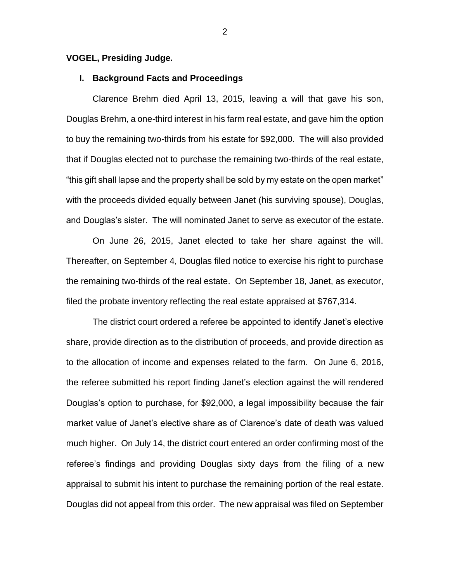### **VOGEL, Presiding Judge.**

## **I. Background Facts and Proceedings**

Clarence Brehm died April 13, 2015, leaving a will that gave his son, Douglas Brehm, a one-third interest in his farm real estate, and gave him the option to buy the remaining two-thirds from his estate for \$92,000. The will also provided that if Douglas elected not to purchase the remaining two-thirds of the real estate, "this gift shall lapse and the property shall be sold by my estate on the open market" with the proceeds divided equally between Janet (his surviving spouse), Douglas, and Douglas's sister. The will nominated Janet to serve as executor of the estate.

On June 26, 2015, Janet elected to take her share against the will. Thereafter, on September 4, Douglas filed notice to exercise his right to purchase the remaining two-thirds of the real estate. On September 18, Janet, as executor, filed the probate inventory reflecting the real estate appraised at \$767,314.

The district court ordered a referee be appointed to identify Janet's elective share, provide direction as to the distribution of proceeds, and provide direction as to the allocation of income and expenses related to the farm. On June 6, 2016, the referee submitted his report finding Janet's election against the will rendered Douglas's option to purchase, for \$92,000, a legal impossibility because the fair market value of Janet's elective share as of Clarence's date of death was valued much higher. On July 14, the district court entered an order confirming most of the referee's findings and providing Douglas sixty days from the filing of a new appraisal to submit his intent to purchase the remaining portion of the real estate. Douglas did not appeal from this order. The new appraisal was filed on September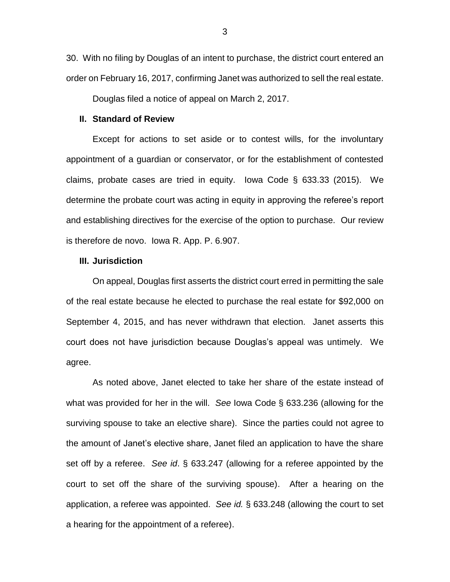30. With no filing by Douglas of an intent to purchase, the district court entered an order on February 16, 2017, confirming Janet was authorized to sell the real estate.

Douglas filed a notice of appeal on March 2, 2017.

#### **II. Standard of Review**

Except for actions to set aside or to contest wills, for the involuntary appointment of a guardian or conservator, or for the establishment of contested claims, probate cases are tried in equity. Iowa Code § 633.33 (2015). We determine the probate court was acting in equity in approving the referee's report and establishing directives for the exercise of the option to purchase. Our review is therefore de novo. Iowa R. App. P. 6.907.

### **III. Jurisdiction**

On appeal, Douglas first asserts the district court erred in permitting the sale of the real estate because he elected to purchase the real estate for \$92,000 on September 4, 2015, and has never withdrawn that election. Janet asserts this court does not have jurisdiction because Douglas's appeal was untimely. We agree.

As noted above, Janet elected to take her share of the estate instead of what was provided for her in the will. *See* Iowa Code § 633.236 (allowing for the surviving spouse to take an elective share). Since the parties could not agree to the amount of Janet's elective share, Janet filed an application to have the share set off by a referee. *See id*. § 633.247 (allowing for a referee appointed by the court to set off the share of the surviving spouse). After a hearing on the application, a referee was appointed. *See id.* § 633.248 (allowing the court to set a hearing for the appointment of a referee).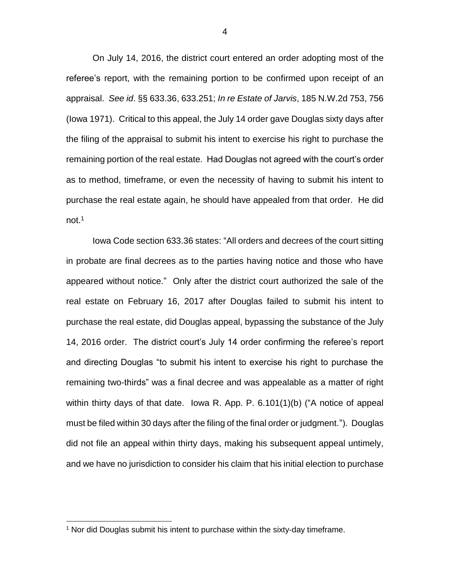On July 14, 2016, the district court entered an order adopting most of the referee's report, with the remaining portion to be confirmed upon receipt of an appraisal. *See id*. §§ 633.36, 633.251; *In re Estate of Jarvis*, 185 N.W.2d 753, 756 (Iowa 1971). Critical to this appeal, the July 14 order gave Douglas sixty days after the filing of the appraisal to submit his intent to exercise his right to purchase the remaining portion of the real estate. Had Douglas not agreed with the court's order as to method, timeframe, or even the necessity of having to submit his intent to purchase the real estate again, he should have appealed from that order. He did not.<sup>1</sup>

Iowa Code section 633.36 states: "All orders and decrees of the court sitting in probate are final decrees as to the parties having notice and those who have appeared without notice." Only after the district court authorized the sale of the real estate on February 16, 2017 after Douglas failed to submit his intent to purchase the real estate, did Douglas appeal, bypassing the substance of the July 14, 2016 order. The district court's July 14 order confirming the referee's report and directing Douglas "to submit his intent to exercise his right to purchase the remaining two-thirds" was a final decree and was appealable as a matter of right within thirty days of that date. Iowa R. App. P. 6.101(1)(b) ("A notice of appeal must be filed within 30 days after the filing of the final order or judgment."). Douglas did not file an appeal within thirty days, making his subsequent appeal untimely, and we have no jurisdiction to consider his claim that his initial election to purchase

 $\overline{a}$ 

 $1$  Nor did Douglas submit his intent to purchase within the sixty-day timeframe.